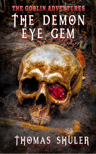## THE GOBLIN ADVENTURES THE DEMON EYE GEM

#### SHULER THOMAS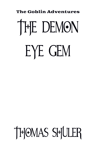# The Goblin Adventures THE DEMON EYE GEM

THOMAS SHULER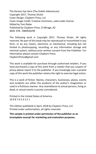The Demon Eye Gem (The Goblin Adventures) Copyright 2017, Thomas Shuler Cover Design: Clayborn Press, LLC Cover Image Credit: Creative Commons, used under license. Edited by Toni Riebe Published by Clayborn Press, El Mirage, AZ IBSN: 978- 1980936299

The following work is Copyright 2017, Thomas Shuler. All rights reserved. No part of this book may be reproduced or transmitted in any form, or by any means, electronic or mechanical, including but not limited to photocopying, recording, or any information storage and retrieval system, without prior written consent from the Publisher. For information please contact Clayborn Press:

ClaybornPress@gmail.com

This work is available for purchase through authorized retailers. If you have purchased a copy of this work from a retailer that you suspect of piracy please report it to the publisher. If you knowingly own a pirated copy of this work the publisher retains the right to exercise legal action.

This is a work of fiction. Names, characters, businesses, places, events and incidents are either the products of the author's imagination or used in a fictitious manner. Any resemblance to actual persons, living or dead, or actual events is purely coincidental.

Printed in the United States of America. 10 9 8 7 6 5 4 3 2 1

This Edition published in April, 2018 by Clayborn Press, LLC Printed under authorization, all rights reserved.

**This sample is printed under permission of the publisher as an incomplete excerpt for marketing and evaluation purposes.**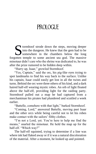## **PROLOGUE**

tormhoof strode down the steps, moving deeper into the dungeon. He knew that the gem had to be somewhere in the chambers below the long forgotten temple to some ancient sea god. The massive minotaur didn't care who the shrine was dedicated to, he was after the prize rumored to be hidden deep within. S

"Hurry up, Isaar," growled Stormhoof.

"Yes, Captain," said the orc, his pig-like eyes trying to spot landmarks to find his way back to the surface. Unlike his captain, Isaar could easily get lost in all the twists and turns. Behind the orc were three others of his kind, and a dark haired half-elf wearing mystic robes. An orb of light floated above the half-elf, providing light for the raiding party. Stormhoof pulled out a map he had captured from a merchantman his pirates had plundered and scuttled a week earlier.

"Battelle, comehere with that light," barked Stormhoof.

"Coming, Lord," answered Battelle, moving past Isaar and the other orcs while being careful not to let his robes make contact with the sailors' filthy clothes.

"I'm not a Lord, yet. You're here to help me find the means," snarled the minotaur. He held the map up for the half-elf. "Which way?"

The half-elf squinted, trying to determine if a line was where ink had flaked away or if it was a natural discoloration of the material. After a moment, he looked up and pointed.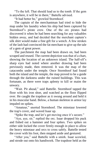"To the left. That should lead us to the tomb. If the gem is anywhere, it will be in there," Battelle advised.

"It had better be," growled Stormhoof.

The captain of the merchantman had tried to hide the map under his laundry when his ship had been captured by Stormhoof's pirate crew. One of the orc pirates had discovered it when he had been searching for any valuables hidden away, and had decided that the merchant captain's silk shirt would make a fine gift for a wench. A few strokes of the lash had convinced the fat merchant to give up the tale of a gem of great power.

The parchment the map had been drawn on, had been scraped and reused. The current depiction was that of a chart, showing the location of an unknown island. The half-elf's sharp eyes had noted where another drawing had been previously made, then removed. It was the map of the catacombs under the temple. Once Stormhoof had found both the island and the temple, the map proved to be a guide through the darkness under the ruined buildings. This was fortunate, as there were traps aplenty to kill or maim the unwary.

"Wait. Pit ahead," said Battelle. Stormhoof tapped the floor with his iron shoe, and watched as the floor flipped over. He caught the trapdoor as it swung around and held it in his muscular hand. Below, a human skeleton in armor lay impaled on spikes.

"Amateur," snorted Stormhoof. The minotaur lowered the trap's cover, and waved Isaar up.

"Spike the trap, and let's get moving once it's secure."

"Aye, aye, sir," replied the orc. Isaar dropped his pack and fished out a hammer and four spikes. Two spikes on either side locked the cover firmly enough in place to allow the heavy minotaur and orcs to cross safely. Battelle tested the cover with his foot, then stepped aside and gestured.

"After you," said Battelle with a smirk. Isaar scowled, and strode out onto his handiwork. The trapdoor held as the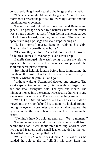orc crossed. He grinned a toothy challenge at the half-elf.

"It's safe enough. Move it, long ears," said the orc. Stormhoof crossed the pit first, followed by Battelle and the remaining orc crewmen.

The orcs spread out behind Stormhoof and Battelle and gaped. The passage opened to a natural cave/ In the center was a huge boulder, at least fifteen feet in diameter, carved to look like a horned, grinning human skull. The jaw hung open, revealing a passage and short steps leading up.

"It has horns," mused Battelle, rubbing his chin. "Humans don't normally have horns."

"Because they are fools," snarled Stormhoof. "Horns rip flesh, break bones. A weapon you can never drop."

Battelle shrugged. He wasn't going to argue the relative aspects of horns versus steel or magic as a weapon with the short tempered pirate captain.

Stormhoof held his lantern before him, illuminating the mouth of the skull. "Looks like a room behind the eyes. Probably where the gem is. Let's go."

Without waiting, Stormhoof ducked and entered. The short steps led to another room, this one with two large round and one small triangular hole. The eyes and mouth. The minotaur moved into the center, wide nostrils drawing in any scents over his nose ring. There was something amiss...

"Well, Lord Stormhoof?" asked Battelle as the half-elf moved into the room behind his captain. He looked around, noting the eye and nose holes, and a small altar between the eyes and under the nose. There was a small depression in the center.

"Nothing's here. No gold, no gem, no… Wait a moment."

The minotaur knelt and lifted a rude wooden staff from behind the altar. It was about three feet long, adorned with two ragged feathers and a small leather bag tied to the top. He sniffed the bag, then pulled back.

"What is this? What does it mean?" he asked as he handed the pole to the half-elf. By this time, Isaar had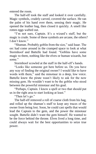entered the room.

The half-elf took the staff and looked it over carefully. Magic symbols, crudely carved, covered the surface. He ran the palm of his hand over them, sensing their magic. He opened the leather bag, then closed it quickly. A smell like rotten eggs wafted out.

"I'm not sure, Captain. It's a wizard's staff, but the magic is crude. Some of these symbols are arcane, the others? I don't know."

"Shaman. Probably goblin from the size," said Isaar. The orc had come around in the cramped space to look at what Stormhoof and Battelle had found. "Goblins have some magic to them, nothing like the elves or human wizards, but some."

Stormhoof scowled at the staff in the half-elf's hands.

"Looks like someone got here before us. Do you have any way of finding the original owner? I would like to have words with them," said the minotaur in a deep, low voice. Battelle knew the pirate wasn't likely to ask for the now missing gem. He wouldn't want to be the goblin who stood between the powerful minotaur and his goal.

"Perhaps, Captain. I know a spell or two that should put us in the right area to start looking at least."

"Then let's go."

The half-elf removed a roll of coarse cloth from his bag, and rolled up the shaman's staff to keep any traces of the owner from being lost. Soon, he could cast spells that would lead the Captain to the gem, and the power the minotaur sought. Battelle didn't want the gem himself. He wanted to be the force behind the throne. Elves lived a long time, and could always wait for the best opportunities to seize true power.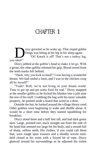### CHAPTER 1

izzy growled as he woke up. That stupid goblin Dregs was biting at his leg in his sleep again. "Oi! Knock it off! That's not a turkey leg, you idiot!" D

Dizzy jabbed at the goblin's head to make it let go. With a groan, the other goblin released his grip. Blood oozed from the teeth marks left behind.

"Ouch, why you kick so hard!? I was having a wonderful dream. We had raided a farm, and I was in the chicken coop all by myself!"

"Yeah? Well, we're not living in your dream world. Time to get up and get some food for real." Dizzy snapped at the smaller goblin as he kicked his blanket into a pile near the rest of his stuff. Grabbing the bag with his more valuable property, he pushed aside a board that acted as a door.

Outside the hut, he looked around the village bleary eyed. Other goblins were beginning to wake and shuffle about. It would be a short time before they started squabbling for breakfast.

Dizzy stood three and a half feet tall, and had dark green skin. Large, pointed ears stuck straight out from the side of his head that seemed too large for his body, and a mouth full of sharp, yellow teeth. His clothes, if you could call them that, were rough spun trousers and a shoddy woven tunic held closed at his waist with a frayed bit of rope. Dizzy glanced around his surroundings as he adjusted the stolen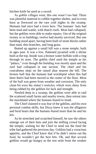kitchen knife he used as a sword.

As goblin villages went, this one wasn't too bad. There was plentiful material to cobble together shelter, and to even burn as firewood on the rare cold nights in the swamp. Humans had once had a town here. The humans' huts had been mud and wattle, with thatch roofs. Most had collapsed, but the goblins were able to make repairs. Out of the original twenty or so buildings, twelve had mostly survived. But one building stood apart, having been built of stone blocks rather than mud, thin branches, and long grass.

Butted up against a small hill was a stone temple, built in ages past. It was a low, flattened pyramid with a shrine built at the top. Inside was a bronze water buffalo with a ring through its nose. The goblin chief used the temple as his "palace," even though the building was mostly open and the roof had collapsed in one section. The chief and his concubines slept on the raised altar nearest the hill. The bronze bull that the humans had worshiped when this had been theirs had been moved to the center of the floor. Most of the bull was green from weather and corrosion. The only clean bit were the statue's testicles, which were shiny from being rubbed by the goblins for luck and strength.

Nestled deep in a swamp, the goblins were able to raid the scattered small farms and nearby towns, then retreat into the marshland where the humans feared to tread.

The Chief claimed it was fear of the goblins, and his own personal combat skills, but Dizzy knew it was the alligators and feral boars that the humans feared more than he and his kin.

As he stretched and scratched himself, he saw the others emerge out of their huts and join the milling crowd facing the temple, waiting for the Chief to send out the food the tribe had gathered the previous day. Goblins had a voracious appetite, and the Chief knew that if he didn't ration out the food, he wouldn't get the best bits. Oh, and that several goblins would go hungry as the rest stole from the weaker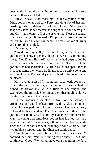ones. Chief knew the most important part was making sure he himself was well fed.

"Hey! Dizzy! Good morning!" called a young goblin. Dizzy looked over and saw Kitty crawling out of her hut, brushing bits of debris off of her clothes. She wore a shapeless shift. It had started as a night shirt for a farm girl, but Kitty had stolen it off of the drying line. Near the central fire pit another goblin named YDB pushed himself up to his feet and brushed his thin hair back. The male looked at Dizzy and Kitty, then smiled.

"Morning," said YDB.

"Good morning YDB," she said. Dizzy smiled his usual goblin smile, showing many sharp teeth. YDB said nothing more. 'You Dumb Bastard' was what he had been called by the Chief when he had been but a whelp. The rest of the goblin tribe had shortened it YDB. YDB didn't speak for the first four rains, then when he finally did, he only spoke one word sentences. This usually made it hard to figure out what he meant.

Kitty picked a bit of fish from her back teeth, looked at it, and decided that sitting in her mouth overnight hadn't ruined the flavor any. With a flick of her tongue, she swallowed the morsel. She joined the other goblins slowly making their way to the palace.

As the goblins assembled in front of the shrine, a groaning sound could be heard from within. After a moment, the Chief stepped out of the shadows. He was closely followed by his attendant. The Chief was the fattest of the goblins, but there was a solid layer of muscle underneath. Many a young and ambitious goblin had learned the hard way that fat didn't mean weak, although it had been a while since the Chief had last been challenged for his throne. The two goblins stopped, and the Chief raised his hand.

"Greetings, my loyal goblins! I trust you all slept well?" boomed the Chief. Without waiting for an answer, the Chief continued. "Good! We will all need our strength in the days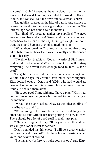to come! I, Chief Ravenous, have decided that the human town of Driftwood Landing has failed to provide sufficient tribute, and we shall raid the town and take what is ours!"

The goblins cheered at the idea of a raid. Any chance to cause chaos and mischief was a good day to be a goblin. The little village had not done a raid in months.

"But first! We need to gather up supplies! We need weapons, torches and armor! Go out and find what you need, come back by the end of the day. Don't get caught, we don't want the stupid humans to think something is up!"

"What about breakfast?" asked Kitty, feeling that a tiny bit of fish from her back teeth wasn't exactly a well-rounded start to her day.

"No time for breakfast! Go, my warriors! Find metal, find wood, find weapons! When we attack, we will destroy everything! And we'll steal enough food to feed us for a year!"

The goblins all cheered their wise and all-knowing Chief. Within a few days, they would have much better supplies. Kitty looked over at Dizzy and YDB, who had wound up near each other as the Chief spoke. Those two would get into trouble if she left them alone.

"Hey, you two! Come with me. I have a plan." Kitty lied, but goblins obeyed anyone who seemed to be in charge at the moment.

"What's the plan?" asked Dizzy as the other goblins of the tribe ran to and fro.

"We're going to the Grindle Farm. I was watching it the other day, Missus Grindle has been putting in a new kitchen. There should be a lot of good stuff in their junk pile."

"Oh, yeah!" agreed Dizzy. "If they replaced their stove, we can get a lot of metal for armor!"

Dizzy pounded his thin chest. "I will be a great warrior, with armor and a sword!" He drew his old, rusty kitchen knife, and waved it around.

"Put that away before you poke your eye out," said Kitty.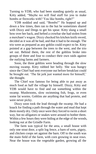Turning to YDB, who had been standing quietly as usual, Kitty added, "Maybe we will find stuff for you to make bombs or fireworks with? You like bombs, right?"

YDB nodded and said, "Bombs!" He hopped up and down a few times, then ran to the hut he sometimes shared with Dizzy and Dregs to get his spear. Kitty slung a small bow over her back, and hefted a crowbar she had stolen from a merchant's wagon. Dizzy checked his kitchen knife sword, decided as it was all he had, and that it had to be enough. The trio were as prepared as any goblin could expect to be. Kitty pointed at a gap between the trees to the west, and the trio set out. Behind them, the rest of the goblins broke into groups of three and four to conduct their own raids against the outlying farms and farmers.

Soon, the three goblins were heading through the slow moving swamp. Kitty rubbed her belly. She was hungry since the Chief had sent everyone out before breakfast could be brought out. 'The fat jerk just wanted more for himself,' she thought.

The Chief was famous for being able to put away as much food as half the village by himself. Dizzy, Kitty and YDB would have to find and eat something within the swamp. Mushrooms, slow swimming fish, frogs, or even some fat worms. Goblins ate anything that had protein, and were never picky.

Dizzy soon took the lead through the swamp. He had a knack for finding a path through the water and mud that kept them mostly dry. Only once were they forced to swim a short way, but no alligators or snakes were around to bother them. Within a few hours they were hiding at the edge of the woods, looking out at the Grindle Farm.

The farm was typical for the area, a small house with only one stout door, a split log fence, a barn of sorts, pigsty, and chicken coops set against the barn. Off to the south was the main field of the farm, with corn growing in neat rows. Near the house was the vegetable garden, growing all the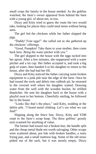small crops the family in the house needed. As the goblins watched, the farm's owner appeared from behind the barn with a young girl, of about ten, in tow.

Dizzy and Kitty tried to guess the route the two would take, looking for places they could steal items without being seen.

The girl fed the chickens while her father slopped the pigs.

"Daddy! Four eggs!" she called out as she gathered up the chickens' offerings.

"Good, Pumpkin! Take them to your mother, then come back here. Bring the water pitcher with you."

The girl skipped to the house with the eggs tucked into her apron. After a few minutes, she reappeared with a water pitcher and a tin cup. Her father accepted it, and took a big gulp of water, then handed it to his daughter to return to the house, after she had had her fill.

Dizzy and Kitty noticed the father carrying some broken equipment to a junk pile near the edge of the farm. Once he had tossed the tools and debris into rubbish pit, he returned to the covered well where his daughter waited. Drawing water from the well with the wooden bucket, he refilled thepitcher. He sent his daughter back to the house with a playful swat to her bottom. Cheerfully smiling, he followed her to the house.

"Looks like that's the place," said Kitty, nodding at the debris pile. "I heard metal clinking. Let's see what we can find!"

Slipping along the fence line, Dizzy, Kitty and YDB crept to the farm's scrap heap. The three goblins' greedy eyes scanned for anything of value.

The farmer had tossed out a broken hoe, the handle split and the cheap metal blade not worth salvaging. Other scraps were scattered about, pot lids with broken handles, a rusty frying pan, and a small mattress bag. Some of the old straw poked out of the sack, but it was mostly empty. Dizzy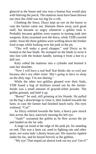glanced at the house and saw toys a human boy would play with littering the porch. The mattress must have been thrown out once the child was too big for a crib.

Climbing the fence, Dizzy kept an eye on the house in case the farmer came out. Humans threw away such good stuff, but became so angry whenever a goblin took it. Probably because goblins were experts in turning junk into weapons. Kitty swarmed over the fence, while YDB crawled under. Soon the three goblins were wolfing down the fresher food scraps while looking over the junk in the pit.

"This will make a good chopper," said Dizzy as he looked at the hoe blade. He stomped on the blade to twist it into line with the broken handle, turning it from a hoe to a dull axe.

Kitty rolled the mattress into a cylinder and hoisted it onto her shoulder.

"Now I will have a real bed! Kat thinks she so cool just because she's my older sister. She's going to have to sleep on the dirty rags. I'm not sharing."

While the other two goblins gloated over their finds, YDB found a bag of fertilizer tossed out by the farmer. Inside was a small amount of grayish-white powder. The goblin grinned, and held it up.

"Boom!" he said, still grinning at his friends. He pulled on the bag's drawstrings to close it, then looked towards the farm, in case the farmer had finished lunch early. His eyes widened. "Cat!"

As Dizzy whirled towards the farm, a heavy paw struck him across the face, narrowly missing his left eye.

"Aaah!" screamed the goblin as he flew across the pit and landed on the far side.

A huge cat stood at the edge of the junk pit, fur standing on end. This was a farm cat, used to fighting rats and other pests, not some lady's dainty house pet. His muscles rippled under his fur, and he hissed fiercely at the goblins.

"My eye! That stupid cat almost took out my eye! Get it!"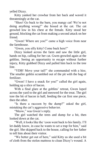yelled Dizzy.

Kitty yanked her crowbar from her back and waved it threateningly at the cat.

"Shoo! Go back to the barn, you mangy cat! We're not doing anything wrong!" she hissed at the cat. The cat growled low in his chest at the female. Kitty stood her ground, blocking the cat from making a second attack on her friend.

"Gwen! Where are you?" came a high voice from near the farmhouse.

"Gwen, you silly kitty! Come back here!"

Dizzy looked across the farm and saw the little girl, hands on hip, calling for her cat. Gwen growled again at the goblins. Seeing an opportunity to escape without further injury, Kitty grabbed Dizzy and pulled him back to the tree line.

"YDB! Move your tail!" she commanded with a hiss. The smaller goblin scrambled out of the pit with the bag of fertilizer.

"Gwen! I have a snack for you!" called the girl again, holding up a slice of bacon.

With a final glare at the goblins' retreat, Gwen loped across the yard to the girl and meowed for the treat. The girl tore the bit of bacon in half, feeding the cat first one piece, then the other.

"Is there a raccoon by the dump?" asked the girl, mistaking the cat's aggressive behavior.

"Meow," was Gwen's reply.

The girl watched the trees and dump for a bit, then looked down at the cat.

"Well, it looks like the 'coon went back to his family. I'll let daddy know, in case he wants to set a trap for him," said the girl. She skipped back to the house, calling for her father to tell him about their visitor.

"We better get out of here," said Kitty as she used a bit of cloth from the stolen mattress to clean Dizzy's wound. A